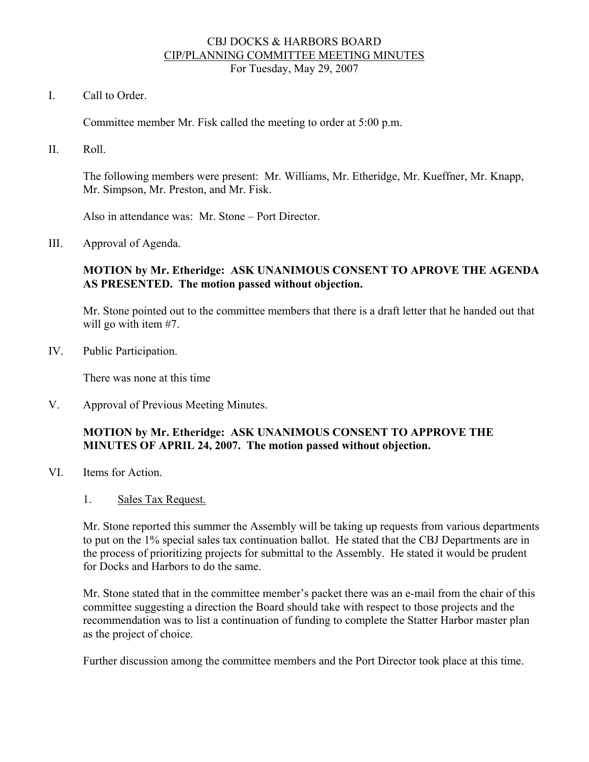#### CBJ DOCKS & HARBORS BOARD CIP/PLANNING COMMITTEE MEETING MINUTES For Tuesday, May 29, 2007

I. Call to Order.

Committee member Mr. Fisk called the meeting to order at 5:00 p.m.

II. Roll.

The following members were present: Mr. Williams, Mr. Etheridge, Mr. Kueffner, Mr. Knapp, Mr. Simpson, Mr. Preston, and Mr. Fisk.

Also in attendance was: Mr. Stone – Port Director.

III. Approval of Agenda.

#### **MOTION by Mr. Etheridge: ASK UNANIMOUS CONSENT TO APROVE THE AGENDA AS PRESENTED. The motion passed without objection.**

Mr. Stone pointed out to the committee members that there is a draft letter that he handed out that will go with item #7.

IV. Public Participation.

There was none at this time

V. Approval of Previous Meeting Minutes.

### **MOTION by Mr. Etheridge: ASK UNANIMOUS CONSENT TO APPROVE THE MINUTES OF APRIL 24, 2007. The motion passed without objection.**

- VI. Items for Action.
	- 1. Sales Tax Request.

Mr. Stone reported this summer the Assembly will be taking up requests from various departments to put on the 1% special sales tax continuation ballot. He stated that the CBJ Departments are in the process of prioritizing projects for submittal to the Assembly. He stated it would be prudent for Docks and Harbors to do the same.

Mr. Stone stated that in the committee member's packet there was an e-mail from the chair of this committee suggesting a direction the Board should take with respect to those projects and the recommendation was to list a continuation of funding to complete the Statter Harbor master plan as the project of choice.

Further discussion among the committee members and the Port Director took place at this time.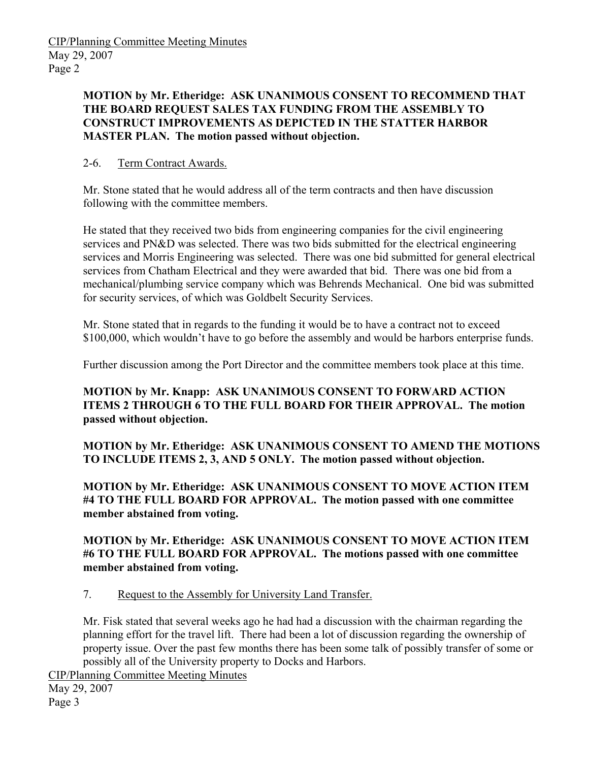**MOTION by Mr. Etheridge: ASK UNANIMOUS CONSENT TO RECOMMEND THAT THE BOARD REQUEST SALES TAX FUNDING FROM THE ASSEMBLY TO CONSTRUCT IMPROVEMENTS AS DEPICTED IN THE STATTER HARBOR MASTER PLAN. The motion passed without objection.** 

# 2-6. Term Contract Awards.

Mr. Stone stated that he would address all of the term contracts and then have discussion following with the committee members.

He stated that they received two bids from engineering companies for the civil engineering services and PN&D was selected. There was two bids submitted for the electrical engineering services and Morris Engineering was selected. There was one bid submitted for general electrical services from Chatham Electrical and they were awarded that bid. There was one bid from a mechanical/plumbing service company which was Behrends Mechanical. One bid was submitted for security services, of which was Goldbelt Security Services.

Mr. Stone stated that in regards to the funding it would be to have a contract not to exceed \$100,000, which wouldn't have to go before the assembly and would be harbors enterprise funds.

Further discussion among the Port Director and the committee members took place at this time.

**MOTION by Mr. Knapp: ASK UNANIMOUS CONSENT TO FORWARD ACTION ITEMS 2 THROUGH 6 TO THE FULL BOARD FOR THEIR APPROVAL. The motion passed without objection.** 

**MOTION by Mr. Etheridge: ASK UNANIMOUS CONSENT TO AMEND THE MOTIONS TO INCLUDE ITEMS 2, 3, AND 5 ONLY. The motion passed without objection.** 

**MOTION by Mr. Etheridge: ASK UNANIMOUS CONSENT TO MOVE ACTION ITEM #4 TO THE FULL BOARD FOR APPROVAL. The motion passed with one committee member abstained from voting.** 

**MOTION by Mr. Etheridge: ASK UNANIMOUS CONSENT TO MOVE ACTION ITEM #6 TO THE FULL BOARD FOR APPROVAL. The motions passed with one committee member abstained from voting.** 

7. Request to the Assembly for University Land Transfer.

Mr. Fisk stated that several weeks ago he had had a discussion with the chairman regarding the planning effort for the travel lift. There had been a lot of discussion regarding the ownership of property issue. Over the past few months there has been some talk of possibly transfer of some or possibly all of the University property to Docks and Harbors.

CIP/Planning Committee Meeting Minutes

May 29, 2007 Page 3